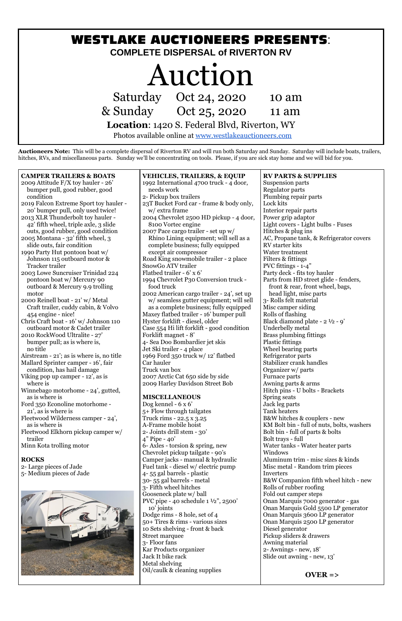

**Auctioneers Note:** This will be a complete dispersal of Riverton RV and will run both Saturday and Sunday. Saturday will include boats, trailers, hitches, RVs, and miscellaneous parts. Sunday we'll be concentrating on tools. Please, if you are sick stay home and we will bid for you.

#### **ROCKS**

2- Large pieces of Jade 5- Medium pieces of Jade



| <b>CAMPER TRAILERS &amp; BOATS</b>        | <b>VEHICLES, TRAILERS, &amp; EQUIP</b>     | <b>RV PARTS &amp; SUPPLIES</b>             |
|-------------------------------------------|--------------------------------------------|--------------------------------------------|
| 2009 Attitude F/X toy hauler - 26'        | 1992 International 4700 truck - 4 door,    | Suspension parts                           |
| bumper pull, good rubber, good            | needs work                                 | <b>Regulator parts</b>                     |
| condition                                 | 2- Pickup box trailers                     | Plumbing repair parts                      |
| 2019 Falcon Extreme Sport toy hauler -    | 23T Bucket Ford car - frame & body only,   | Lock kits                                  |
| 20' bumper pull, only used twice!         | w/ extra frame                             | Interior repair parts                      |
| 2013 XLR Thunderbolt toy hauler -         | 2004 Chevrolet 2500 HD pickup - 4 door,    | Power grip adaptor                         |
| 42' fifth wheel, triple axle, 3 slide     | 8100 Vortec engine                         | Light covers - Light bulbs - Fuses         |
| outs, good rubber, good condition         | 2007 Pace cargo trailer - set up w/        | Hitches & plug ins                         |
| 2005 Montana - 32' fifth wheel, 3         | Rhino Lining equipment; will sell as a     | AC, Propane tank, & Refrigerator covers    |
| slide outs, fair condition                | complete business; fully equipped          | <b>RV</b> starter kits                     |
| 1990 Party Hut pontoon boat w/            | except air compressor                      | Water treatment                            |
| Johnson 115 outboard motor &              | Road King snowmobile trailer - 2 place     | Filters & fittings                         |
| Tracker trailer                           | SnowGo ATV trailer                         | PVC fittings $-1-4$ "                      |
| 2003 Lowe Suncruiser Trinidad 224         | Flatbed trailer - 6' x 6'                  | Party deck - fits toy hauler               |
| pontoon boat w/ Mercury 90                | 1994 Chevrolet P30 Conversion truck -      | Parts from HD street glide - fenders,      |
| outboard & Mercury 9.9 trolling           | food truck                                 | front & rear, front wheel, bags,           |
| motor                                     | 2002 American cargo trailer - 24', set up  | head light, misc parts                     |
| 2000 Reinell boat - 21' w/ Metal          | w/ seamless gutter equipment; will sell    | 3- Rolls felt material                     |
| Craft trailer, cuddy cabin, & Volvo       | as a complete business; fully equipped     | Misc camper siding                         |
| 454 engine - nice!                        | Maxey flatbed trailer - 16' bumper pull    | Rolls of flashing                          |
| Chris Craft boat - 16' w/ Johnson 110     | Hyster forklift - diesel, older            | Black diamond plate - $2 \frac{1}{2}$ - 9' |
| outboard motor & Cadet trailer            | Case 554 Hi lift forklift - good condition | Underbelly metal                           |
| 2010 RockWood Ultralite - 27'             | Forklift magnet - 8'                       | <b>Brass plumbing fittings</b>             |
| bumper pull; as is where is,              | 4- Sea Doo Bombardier jet skis             | <b>Plastic fittings</b>                    |
| no title                                  | Jet Ski trailer - 4 place                  | Wheel bearing parts                        |
| Airstream - 21'; as is where is, no title | 1969 Ford 350 truck w/ 12' flatbed         | Refrigerator parts                         |
| Mallard Sprinter camper - 16', fair       | Car hauler                                 | Stabilizer crank handles                   |
| condition, has hail damage                | Truck van box                              | Organizer w/ parts                         |
| Viking pop up camper - 12', as is         | 2007 Arctic Cat 650 side by side           | Furnace parts                              |
| where is                                  | 2009 Harley Davidson Street Bob            | Awning parts & arms                        |
| Winnebago motorhome - 24', gutted,        |                                            | Hitch pins - U bolts - Brackets            |
| as is where is                            | <b>MISCELLANEOUS</b>                       | Spring seats                               |
| Ford 350 Econoline motorhome -            | Dog kennel - $6 \times 6'$                 | Jack leg parts                             |
| 21 <sup>'</sup> , as is where is          | 5+ Flow through tailgates                  | Tank heaters                               |
| Fleetwood Wilderness camper - 24',        | Truck rims - 22.5 x 3.25                   | B&W hitches & couplers - new               |
| as is where is                            | A-Frame mobile hoist                       | KM Bolt bin - full of nuts, bolts, washers |
| Fleetwood Elkhorn pickup camper w/        | 2- Joints drill stem - 30'                 | Bolt bin - full of parts & bolts           |
| trailer                                   | $4"$ Pipe - $40'$                          | Bolt trays - full                          |
| Minn Kota trolling motor                  | 6- Axles - torsion & spring, new           | Water tanks - Water heater parts           |
|                                           | Chevrolet pickup tailgate - 90's           | Windows                                    |
| <b>ROCKS</b>                              | Camper jacks - manual & hydraulic          | Aluminum trim - misc sizes $&$ kinds       |

Camper jacks - manual & hydraulic Fuel tank - diesel w/ electric pump 4- 55 gal barrels - plastic 30- 55 gal barrels - metal 3- Fifth wheel hitches Gooseneck plate w/ ball PVC pipe - 40 schedule 1 ½", 2500' 10' joints Dodge rims - 8 hole, set of 4 50+ Tires & rims - various sizes 10 Sets shelving - front & back Street marquee 3- Floor fans Kar Products organizer Jack It bike rack Metal shelving Oil/caulk & cleaning supplies

Aluminum trim - misc sizes & kinds Misc metal - Random trim pieces Inverters B&W Companion fifth wheel hitch - new Rolls of rubber roofing Fold out camper steps Onan Marquis 7000 generator - gas Onan Marquis Gold 5500 LP generator Onan Marquis 3600 LP generator Onan Marquis 2500 LP generator Diesel generator Pickup sliders & drawers Awning material 2- Awnings - new, 18' Slide out awning - new, 13'

**OVER =>**